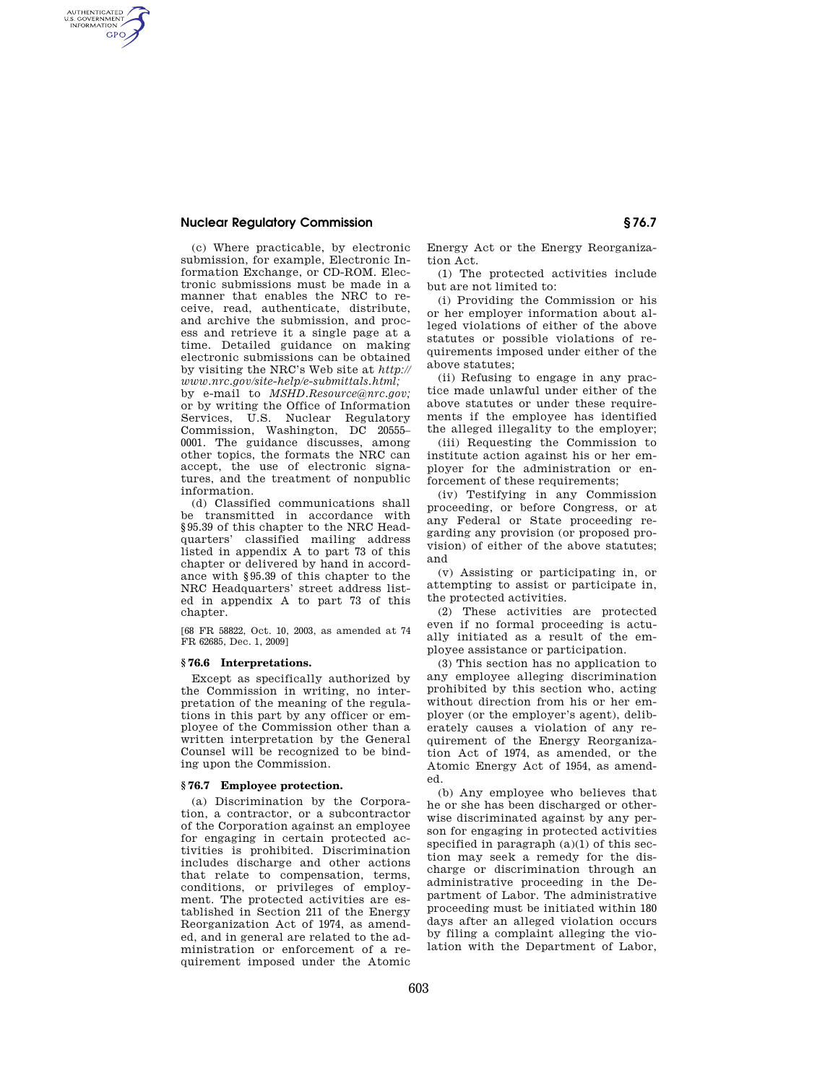# **Nuclear Regulatory Commission § 76.7**

AUTHENTICATED<br>U.S. GOVERNMENT<br>INFORMATION **GPO** 

> (c) Where practicable, by electronic submission, for example, Electronic Information Exchange, or CD-ROM. Electronic submissions must be made in a manner that enables the NRC to receive, read, authenticate, distribute, and archive the submission, and process and retrieve it a single page at a time. Detailed guidance on making electronic submissions can be obtained by visiting the NRC's Web site at *http:// www.nrc.gov/site-help/e-submittals.html;*

> by e-mail to *MSHD.Resource@nrc.gov;*  or by writing the Office of Information Services, U.S. Nuclear Regulatory Commission, Washington, DC 20555– 0001. The guidance discusses, among other topics, the formats the NRC can accept, the use of electronic signatures, and the treatment of nonpublic information.

> (d) Classified communications shall be transmitted in accordance with §95.39 of this chapter to the NRC Headquarters' classified mailing address listed in appendix A to part 73 of this chapter or delivered by hand in accordance with §95.39 of this chapter to the NRC Headquarters' street address listed in appendix A to part 73 of this chapter.

[68 FR 58822, Oct. 10, 2003, as amended at 74 FR 62685, Dec. 1, 2009]

## **§ 76.6 Interpretations.**

Except as specifically authorized by the Commission in writing, no interpretation of the meaning of the regulations in this part by any officer or employee of the Commission other than a written interpretation by the General Counsel will be recognized to be binding upon the Commission.

#### **§ 76.7 Employee protection.**

(a) Discrimination by the Corporation, a contractor, or a subcontractor of the Corporation against an employee for engaging in certain protected activities is prohibited. Discrimination includes discharge and other actions that relate to compensation, terms, conditions, or privileges of employment. The protected activities are established in Section 211 of the Energy Reorganization Act of 1974, as amended, and in general are related to the administration or enforcement of a requirement imposed under the Atomic

Energy Act or the Energy Reorganization Act.

(1) The protected activities include but are not limited to:

(i) Providing the Commission or his or her employer information about alleged violations of either of the above statutes or possible violations of requirements imposed under either of the above statutes;

(ii) Refusing to engage in any practice made unlawful under either of the above statutes or under these requirements if the employee has identified the alleged illegality to the employer;

(iii) Requesting the Commission to institute action against his or her employer for the administration or enforcement of these requirements;

(iv) Testifying in any Commission proceeding, or before Congress, or at any Federal or State proceeding regarding any provision (or proposed provision) of either of the above statutes; and

(v) Assisting or participating in, or attempting to assist or participate in, the protected activities.

(2) These activities are protected even if no formal proceeding is actually initiated as a result of the employee assistance or participation.

(3) This section has no application to any employee alleging discrimination prohibited by this section who, acting without direction from his or her employer (or the employer's agent), deliberately causes a violation of any requirement of the Energy Reorganization Act of 1974, as amended, or the Atomic Energy Act of 1954, as amended.

(b) Any employee who believes that he or she has been discharged or otherwise discriminated against by any person for engaging in protected activities specified in paragraph (a)(1) of this section may seek a remedy for the discharge or discrimination through an administrative proceeding in the Department of Labor. The administrative proceeding must be initiated within 180 days after an alleged violation occurs by filing a complaint alleging the violation with the Department of Labor,